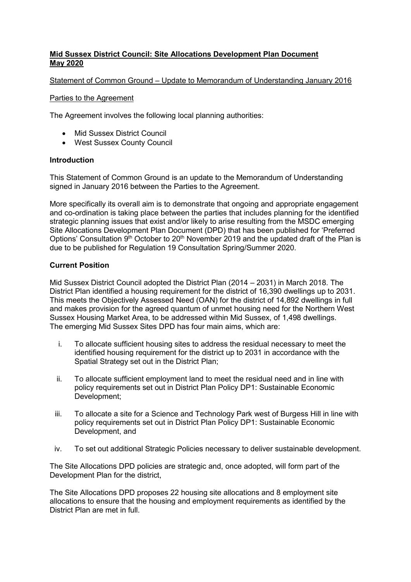### **Mid Sussex District Council: Site Allocations Development Plan Document May 2020**

### Statement of Common Ground – Update to Memorandum of Understanding January 2016

#### Parties to the Agreement

The Agreement involves the following local planning authorities:

- Mid Sussex District Council
- West Sussex County Council

### **Introduction**

This Statement of Common Ground is an update to the Memorandum of Understanding signed in January 2016 between the Parties to the Agreement.

More specifically its overall aim is to demonstrate that ongoing and appropriate engagement and co-ordination is taking place between the parties that includes planning for the identified strategic planning issues that exist and/or likely to arise resulting from the MSDC emerging Site Allocations Development Plan Document (DPD) that has been published for 'Preferred Options' Consultation  $9<sup>th</sup>$  October to 20<sup>th</sup> November 2019 and the updated draft of the Plan is due to be published for Regulation 19 Consultation Spring/Summer 2020.

### **Current Position**

Mid Sussex District Council adopted the District Plan (2014 – 2031) in March 2018. The District Plan identified a housing requirement for the district of 16,390 dwellings up to 2031. This meets the Objectively Assessed Need (OAN) for the district of 14,892 dwellings in full and makes provision for the agreed quantum of unmet housing need for the Northern West Sussex Housing Market Area, to be addressed within Mid Sussex, of 1,498 dwellings. The emerging Mid Sussex Sites DPD has four main aims, which are:

- i. To allocate sufficient housing sites to address the residual necessary to meet the identified housing requirement for the district up to 2031 in accordance with the Spatial Strategy set out in the District Plan;
- ii. To allocate sufficient employment land to meet the residual need and in line with policy requirements set out in District Plan Policy DP1: Sustainable Economic Development;
- iii. To allocate a site for a Science and Technology Park west of Burgess Hill in line with policy requirements set out in District Plan Policy DP1: Sustainable Economic Development, and
- iv. To set out additional Strategic Policies necessary to deliver sustainable development.

The Site Allocations DPD policies are strategic and, once adopted, will form part of the Development Plan for the district,

The Site Allocations DPD proposes 22 housing site allocations and 8 employment site allocations to ensure that the housing and employment requirements as identified by the District Plan are met in full.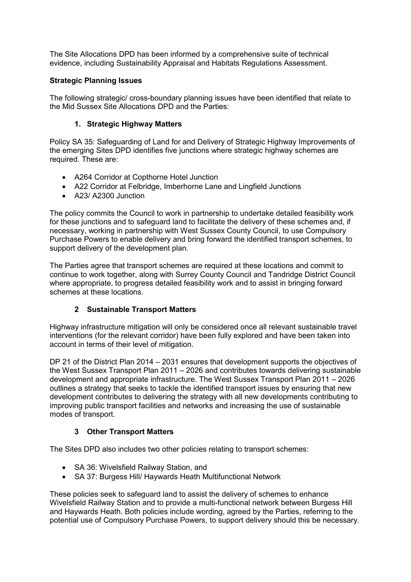The Site Allocations DPD has been informed by a comprehensive suite of technical evidence, including Sustainability Appraisal and Habitats Regulations Assessment.

### **Strategic Planning Issues**

The following strategic/ cross-boundary planning issues have been identified that relate to the Mid Sussex Site Allocations DPD and the Parties:

### **1. Strategic Highway Matters**

Policy SA 35: Safeguarding of Land for and Delivery of Strategic Highway Improvements of the emerging Sites DPD identifies five junctions where strategic highway schemes are required. These are:

- A264 Corridor at Copthorne Hotel Junction
- A22 Corridor at Felbridge, Imberhorne Lane and Lingfield Junctions
- A23/A2300 Junction

The policy commits the Council to work in partnership to undertake detailed feasibility work for these junctions and to safeguard land to facilitate the delivery of these schemes and, if necessary, working in partnership with West Sussex County Council, to use Compulsory Purchase Powers to enable delivery and bring forward the identified transport schemes, to support delivery of the development plan.

The Parties agree that transport schemes are required at these locations and commit to continue to work together, along with Surrey County Council and Tandridge District Council where appropriate, to progress detailed feasibility work and to assist in bringing forward schemes at these locations.

# **2 Sustainable Transport Matters**

Highway infrastructure mitigation will only be considered once all relevant sustainable travel interventions (for the relevant corridor) have been fully explored and have been taken into account in terms of their level of mitigation.

DP 21 of the District Plan 2014 – 2031 ensures that development supports the objectives of the West Sussex Transport Plan 2011 – 2026 and contributes towards delivering sustainable development and appropriate infrastructure. The West Sussex Transport Plan 2011 – 2026 outlines a strategy that seeks to tackle the identified transport issues by ensuring that new development contributes to delivering the strategy with all new developments contributing to improving public transport facilities and networks and increasing the use of sustainable modes of transport.

# **3 Other Transport Matters**

The Sites DPD also includes two other policies relating to transport schemes:

- SA 36: Wivelsfield Railway Station, and
- SA 37: Burgess Hill/ Haywards Heath Multifunctional Network

These policies seek to safeguard land to assist the delivery of schemes to enhance Wivelsfield Railway Station and to provide a multi-functional network between Burgess Hill and Haywards Heath. Both policies include wording, agreed by the Parties, referring to the potential use of Compulsory Purchase Powers, to support delivery should this be necessary.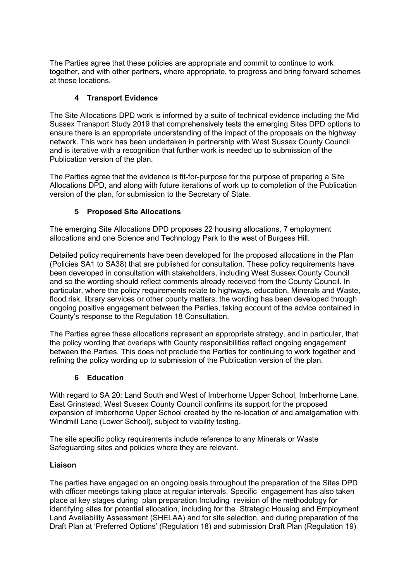The Parties agree that these policies are appropriate and commit to continue to work together, and with other partners, where appropriate, to progress and bring forward schemes at these locations.

# **4 Transport Evidence**

The Site Allocations DPD work is informed by a suite of technical evidence including the Mid Sussex Transport Study 2019 that comprehensively tests the emerging Sites DPD options to ensure there is an appropriate understanding of the impact of the proposals on the highway network. This work has been undertaken in partnership with West Sussex County Council and is iterative with a recognition that further work is needed up to submission of the Publication version of the plan.

The Parties agree that the evidence is fit-for-purpose for the purpose of preparing a Site Allocations DPD, and along with future iterations of work up to completion of the Publication version of the plan, for submission to the Secretary of State.

# **5 Proposed Site Allocations**

The emerging Site Allocations DPD proposes 22 housing allocations, 7 employment allocations and one Science and Technology Park to the west of Burgess Hill.

Detailed policy requirements have been developed for the proposed allocations in the Plan (Policies SA1 to SA38) that are published for consultation. These policy requirements have been developed in consultation with stakeholders, including West Sussex County Council and so the wording should reflect comments already received from the County Council. In particular, where the policy requirements relate to highways, education, Minerals and Waste, flood risk, library services or other county matters, the wording has been developed through ongoing positive engagement between the Parties, taking account of the advice contained in County's response to the Regulation 18 Consultation.

The Parties agree these allocations represent an appropriate strategy, and in particular, that the policy wording that overlaps with County responsibilities reflect ongoing engagement between the Parties. This does not preclude the Parties for continuing to work together and refining the policy wording up to submission of the Publication version of the plan.

### **6 Education**

With regard to SA 20: Land South and West of Imberhorne Upper School, Imberhorne Lane, East Grinstead, West Sussex County Council confirms its support for the proposed expansion of Imberhorne Upper School created by the re-location of and amalgamation with Windmill Lane (Lower School), subject to viability testing.

The site specific policy requirements include reference to any Minerals or Waste Safeguarding sites and policies where they are relevant.

### **Liaison**

The parties have engaged on an ongoing basis throughout the preparation of the Sites DPD with officer meetings taking place at regular intervals. Specific engagement has also taken place at key stages during plan preparation Including revision of the methodology for identifying sites for potential allocation, including for the Strategic Housing and Employment Land Availability Assessment (SHELAA) and for site selection, and during preparation of the Draft Plan at 'Preferred Options' (Regulation 18) and submission Draft Plan (Regulation 19)